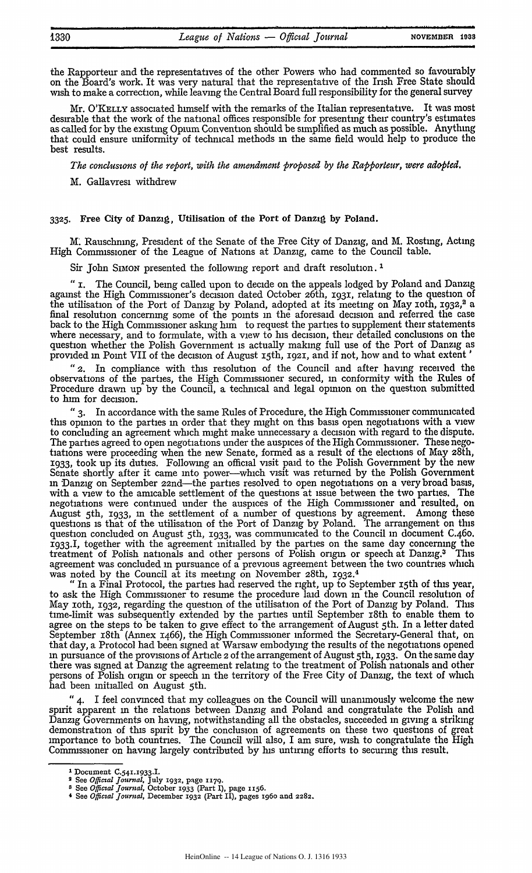the Rapporteur and the representatives of the other Powers who had commented so favourably on the Board's work. It was very natural that the representative of the Irish Free State should wish to make a correction, while leaving the Central Board full responsibility for the general survey

Mr. O'KELLY associated himself with the remarks of the Italian representative. It was most desirable that the work of the national offices responsible for presenting their country's estimates as called for **by** the existing Opium Convention should be simplified as much as possible. Anything that could ensure uniformity of technical methods m the same field would help to produce the best results.

*The conclusions of the report, with the amendment proposed by the Rapporteur, were adopted.*

M. Gallavresi withdrew

## **3325.** Free City of Danzig, Utilisation of the **Port** of Danzig **by** Poland.

M. Rauschnmg, President of the Senate of the Free City of Danzig, and M. Rostmg, Acting High Commissioner of the League of Nations at Danzig, came to the Council table.

Sir John SIMON presented the following report and draft resolution.<sup>1</sup>

*"* i. The Council, being called upon to decide on the appeals lodged **by** Poland and Danzig against the High Commissioner's decision dated October 26th, 1931, relating to the question of the utilisation of the Port of Danzig **by** Poland, adopted at its meeting on May ioth, **1932,2** a final resolution concerning some of the points in the aforesaid decision and referred the case back to the High Commissioner asking him to request the parties to supplement their statements where necessary, and to formulate, with a view to his decision, their detailed conclusions on the question whether the Polish Government is actually making full use of the Port of Danzig as provided in Point VII of the decision of August 15th, 1921, and if not, how and to what extent

*"2.* In compliance with this resolution of the Council and after having received the observations of the parties, the High Commissioner secured, **in** conformity with the Rules of Procedure drawn up by the Council, a technical and legal opinion on the question submitted to him for decision.

*"3.* In accordance with the same Rules of Procedure, the High Commissioner communicated this opinion to the parties in order that they might on this basis open negotiations with a view to concluding an agreement which might make unnecessary a decision with regard to the dispute. The parties agreed to open negotiations under the auspices of the High Commissioner. These negotiations were proceeding when the new Senate, formed as a result of the elections of May 28th, 1933, took up its duties. Followmg an official visit paid to the Polish Government by the new Senate shortly after it came into power-which visit was returned **by** the Polish Government **in** Danzig on September 22nd-the parties resolved to open negotiations on a very broad basis, with a view to the amicable settlement of the questions at issue between the two parties. The negotiations were continued under the auspices of the High Commissioner and resulted, on August 5th, 1933, **in** the settlement of a number of questions **by** agreement. Among these questions is that of the utilisation of the Port of Danzig **by** Poland. The arrangement on this question concluded on August 5th, **1933,** was communicated to the Council in document C.46o. 1933.1, together with the agreement initialled **by** the parties on the same day concerning the treatment of Polish nationals and other persons of Polish origin or speech at Danzig.<sup>3</sup> This agreement was concluded **in** pursuance of a previous agreement between the two countries which was noted **by** the Council at its meeting on November 28th, **1932.<sup>4</sup>**

**"** In a Final Protocol, the parties had reserved the right, up to September 15th of this year, to ask the High Commissioner to resume the procedure laid down in the Council resolution of May ioth, 1932, regarding the question of the utilisation of the Port of Danzig **by** Poland. This time-limit was subsequently extended **by** the parties until September i8th to enable them to agree on the steps to be taken to give effect to the arrangement of August 5th. In a letter dated September 18th (Annex 1466), the High Commissioner informed the Secretary-General that, on that day, a Protocol had been signed at Warsaw embodying the results of the negotiations opened **in** pursuance of the provisions of Article 2 of the arrangement of August 5th, 1933. On the same day there was signed at Danzig the agreement relating to the treatment of Polish nationals and other persons of Polish origin or speech **in** the territory of the Free City of Danzig, the text of wich had been initialled on August 5th.

*"4.* I feel convinced that my colleagues on the Council will unanimously welcome the new spirit apparent **in** the relations between Danzig and Poland and congratulate the Polish and Danzig Governments on having, notwithstanding all the obstacles, succeeded **in** giving a strikmg demonstration of this spirit **by** the conclusion of agreements on these two questions of great importance to both countries. The Council will also, I am sure, wish to congratulate the High Commissioner on having largely contributed **by** his untirmg efforts to securing this result.

**<sup>1</sup>**Document C.5<sup>4</sup> 1.1933.I. **2 See** *Officil Journal,* **July 1932,** page **117q.**

**<sup>8</sup>See** *Official Journal,* October 1933 (Part **I),** page **1156.**

**<sup>4</sup>** See *Official Journal,* December **1932 (Part** II), pages **196o and 2282.**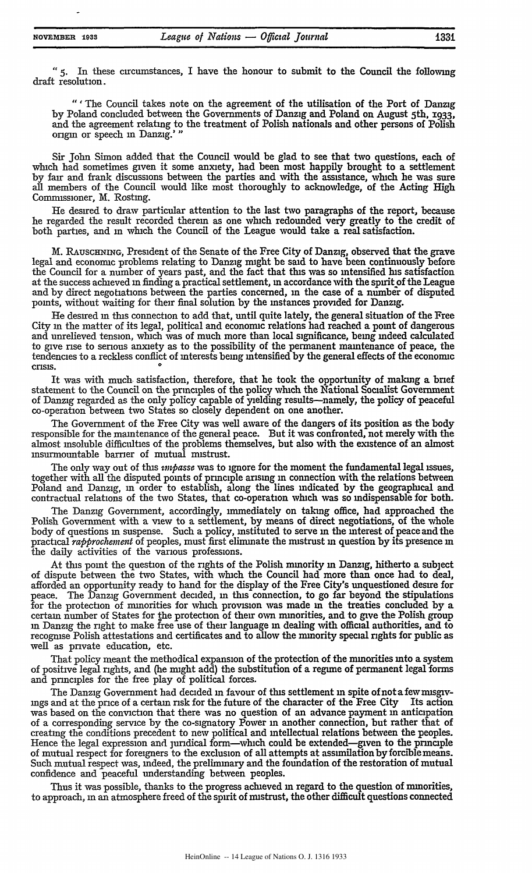*"5.* In these circumstances, **I** have the honour to submit to the Council the following draft resolution.

*"'* The Council takes note on the agreement of the utilisation of the Port of Danzig **by** Poland concluded between the Governments of Danzig and Poland on August 5th, **1933,** and the agreement relating to the treatment of Polish nationals and other persons of Polish origin or speech in Danzig.'"

Sir John Simon added that the Council would be glad to see that two questions, each of which had sometimes given it some anxiety, had been most happily brought to a settlement by fair and frank discussions between the parties and with the assistance, which he was sure all members of the Council would like most thoroughly to acknowledge, of the Acting High Commissioner, M. Rostmg.

He desired to draw particular attention to the last two paragraphs of the report, because he regarded the result recorded therein as one which redounded very greatly to the credit of both parties, and **in** which the Council of the League would take a real satisfaction.

M. RAUSCHNING, President of the Senate of the Free City of Danzig, observed that the grave legal and economic problems relating to Danzig might be said to have been continuously before the Council for a number of years past, and the fact that tns was so intensified his satisfaction at the success achieved in finding a practical settlement, **in** accordance with the spirit of the League and by direct negotiations between the parties concerned, **in** the case of a number of disputed points, without waiting for their final solution by the instances provided for Danzig.

He desired **in** tins connection to add that, until quite lately, the general situation of the Free City in the matter of its legal, political and economic relations had reached a point of dangerous and unrelieved tension, which was of much more than local significance, being indeed calculated to give rise to serious anxiety as to the possibility of the permanent maintenance of peace, the tendencies to a reckless conflict of interests being intensified by the general effects of the economic conductions to a resistable common

It was with much satisfaction, therefore, that he took the opportunity of making a brief statement to the Council on the principles of the policy which the National Socialist Government of Danzig regarded as the only policy capable of yielding results-namely, the policy of peaceful co-operation between two States so closely dependent on one another.

The Government of the Free City was well aware of the dangers of its position as the body responsible for the maintenance of the general peace. But it was confronted, not merely with the almost insoluble difficulties of the problems themselves, but also with the existence of an almost insurmountable barrier of mutual mistrust.

The only way out of tis *impasse* was to ignore for the moment the fundamental legal issues, together with all the disputed points of principle arising **in** connection with the relations between Poland and Danzig, in order to establish, along the lines indicated by the geographical and contractual relations of the two States, that co-operation which was so indispensable for both.

The Danzig Government, accordingly, immediately on taking office, had approached the Polish Government with a view to a settlement, by means of direct negotiations, of the whole body of questions in suspense. Such a policy, instituted to serve **in** the interest of peace and the practical *rapprochement* of peoples, must first eliminate the mistrust **in** question by its presence in the daily activities of the various professions.

At this point the question of the rights of the Polish minority in Danzig, hitherto a subject of dispute between the two States, with which the Council had more than once had to deal, afforded an opportunity ready to hand for the display of the Free City's unquestioned desire for peace. The Danzig Government decided, in this connection, to go far beyond the stipulations for the protection of minorities for which provision was made in the treaties concluded by a certain number of States for the protection of their **own** minorities, and to give the Polish group **in** Danzig the right to make free use of their language **in** dealing with official authorities, and to recogmse Polish attestations and certificates and to allow the minority special rights for public as well as private education, etc.

That policy meant the methodical expansion of the protection of the minorities into a system of positive legal rights, and (he might add) the substitution of a regime of permanent legal forms and principles for the free play of political forces.

The Danzig Government had decided **in** favour of this settlement in spite of not afewmisgivings and at the price of a certain risk for the future of the character of the Free City was based on the conviction that there was no question of an advance payment in anticipation of a corresponding service by the co-signatory Power **in** another connection, but rather that of creating the conditions precedent to new political and intellectual relations between the peoples. Hence the legal expression and juridical form—which could be extended—given to the principle of mutual respect for foreigners to the exclusion of all attempts at assimilation byforciblemeans. Such mutual respect was, indeed, the preliminary and the foundation of the restoration of mutual confidence and peaceful understanding between peoples.

Thus it was possible, thanks to the progress achieved **in** regard to the question of minorities, to approach, in an atmosphere freed of the spirit of mistrust, the other difficult questions connected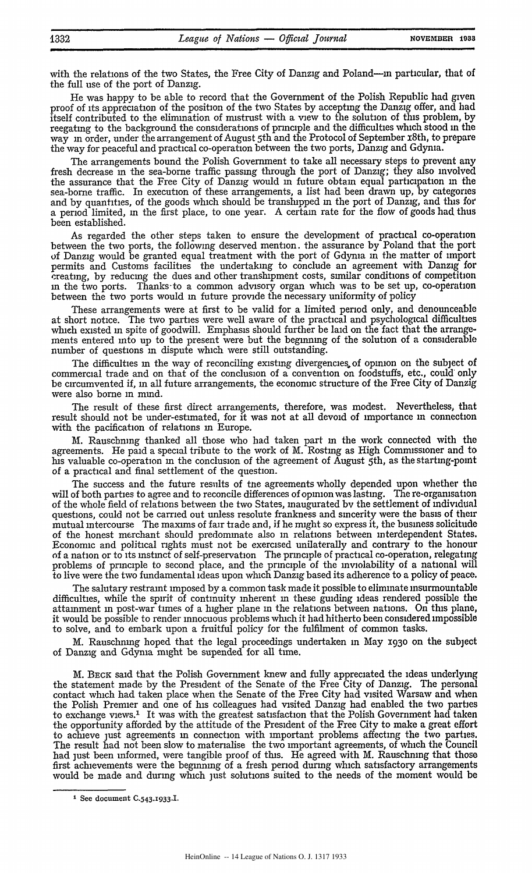with the relations of the two States, the Free City of Danzig and Poland-in particular, that of the full use of the port of Danzig.

He was happy to be able to record that the Government of the Polish Republic had given proof of its appreciation of the position of the two States by accepting the Danzig offer, and had itself contributed to the elimination of mistrust with a view to the solution of this problem, by reegating to the background the considerations of principle and the difficulties which stood in the way in order, under the arrangement of August 5th and the Protocol of September 18th, to prepare the way for peaceful and practical co-operation between the two ports, Danzig and Gdynia.

The arrangements bound the Polish Government to take all necessary steps to prevent any fresh decrease **in** the sea-borne traffic passing through the port of Danzig; they also involved the assurance that the Free City of Danzig would In future obtain equal participation **in** the sea-borne traffic. In execution of these arrangements, a list had been drawn up, by categories and by quantities, of the goods which should be transhipped in the port of Danzig, and this for a period limited, In the first place, to one year. A certain rate for the flow of goods had thus been established.

As regarded the other steps taken to ensure the development of practical co-operation between the two ports, the following deserved mention. the assurance by Poland that the port of Danzig would be granted equal treatment with the port of Gdynia in the matter of import permits and Customs facilities the undertaking to conclude an agreement with Danzig for creating, by reducing the dues and other transhipment costs, similar conditions of competition in the two ports. Thanks-to a common advisory organ which was to be set up, co-operation between the two ports would in future provide the necessary uniformity of policy

These arrangements were at first to be valid for a limited period only, and denounceable at short notice. The two parties were well aware of the practical and psychological difficulties which existed in spite of goodwill. Emphasis should further be laid on the fact that the arrangements entered into up to the present were but the beginning of the solution of a considerable number of questions m dispute which were still outstanding.

The difficulties in the way of reconciling existing divergencies of opinion on the subject of commercial trade and on that of the conclusion of a convention on foodstuffs, etc., could' only be circumvented if, in all future arrangements, the economic structure of the Free City of Danzig were also borne in mind.

The result of these first direct arrangements, therefore, was modest. Nevertheless, that result should not be under-estimated, for it was not at all devoid of importance **in** connection with the pacification of relations in Europe.

**M.** Rauschning thanked all those who had taken part in the work connected with the agreements. He paid a special tribute to the work of M. Rosting as High Commissioner and to his valuable co-operation in the conclusion of the agreement of August 5th, as the starting-point of a practical and final settlement of the question.

The success and the future results of tne agreements wholly depended upon whether the will of both parties to agree and to reconcile differences of opinion was lasting. The re-organisation will of both parties to agree and to reconcile differences of opinion was lasting. The re-organisation of the whole field of relations between the two States, inaugurated by the settlement of individual questions, could not be carried out unless resolute frankness and sincerity were the basis of their mutual intercourse The maxims of fair tiade and, if he might so express it, the business solicitude of the honest merchant should predominate also in relations between interdependent States. Economic and political rights must not be exercised unilaterally and contrary to the honour of a nation or to its mstmct of self-preservation The principle of practical co-operation, relegating problems of principle to second place, and the principle of the inviolability of a national will to live were the two fundamental ideas upon which Danzig based its adherence to a policy of peace.

The salutary restraint imposed by a common task made it possible to eliminate insurmountable difficulties, while the spirit of continuity inherent **in** these guiding ideas rendered possible the attainment in post-war times of a higher plane in the relations between nations. On this plane, it would be possible to render innocuous problems which it had hitherto been considered impossible to solve, and to embark upon a fruitful policy for the fulfilment of common tasks.

M. Rauschnmg hoped that the legal proceedings undertaken in May **1930** on the subject of Danzig and Gdynia might be supended for all time.

M. BECK said that the Polish Government knew and fully appreciated the ideas underlying the statement made by the President of the Senate of the Free City of Danzig. The personal contact which had taken place when the Senate of the Free City had visited Warsaw and when the Polish Premier and one of his colleagues had visited Danzig had enabled the two parties to exchange views.' It was with the greatest satisfaction that the Polish Government had taken the opportunity afforded by the attitude of the President of the Free City to make a great effort to achieve just agreements **in** connection with important problems affecting the two parties. The result had not been slow to materialise the two important agreements, of which the Council had just been informed, were tangible proof of this. He agreed with M. Rauschning that those first achievements were the beginning of a fresh period during which satisfactory arrangements would be made and during which just solutions suited to the needs of the moment would be

<sup>&</sup>lt;sup>1</sup> See document C.543.1933.I.